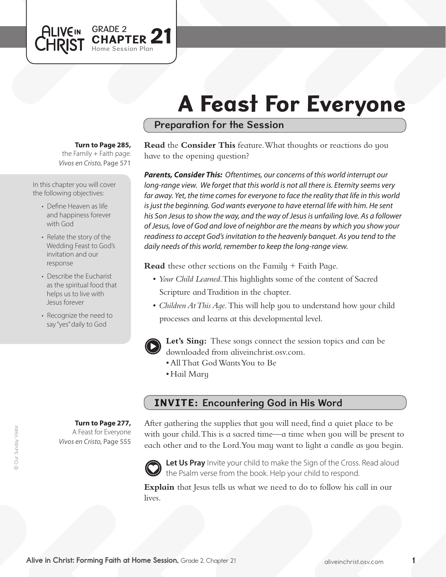# A Feast For Everyone

## Preparation for the Session

### **Turn to Page 285,**

GRADE 2

Session Plan PTER 21

the Family  $+$  Faith page. *Vivos en Cristo,* Page 571

In this chapter you will cover the following objectives:

**ALIVEIN** CHRIST

- Define Heaven as life and happiness forever with God
- Relate the story of the Wedding Feast to God's invitation and our response
- Describe the Eucharist as the spiritual food that helps us to live with Jesus forever
- Recognize the need to say "yes" daily to God

**Turn to Page 277,** A Feast for Everyone

*Vivos en Cristo,* Page 555



*Parents, Consider This: Oftentimes, our concerns of this world interrupt our long-range view. We forget that this world is not all there is. Eternity seems very*  far away. Yet, the time comes for everyone to face the reality that life in this world *is just the beginning. God wants everyone to have eternal life with him. He sent his Son Jesus to show the way, and the way of Jesus is unfailing love. As a follower of Jesus, love of God and love of neighbor are the means by which you show your readiness to accept God's invitation to the heavenly banquet. As you tend to the daily needs of this world, remember to keep the long-range view.*

**Read** these other sections on the Family + Faith Page.

- • *Your Child Learned*. This highlights some of the content of Sacred Scripture and Tradition in the chapter.
- *Children At This Age*. This will help you to understand how your child processes and learns at this developmental level.



**Let's Sing:** These songs connect the session topics and can be downloaded from aliveinchrist.osv.com.

- • AllThat GodWantsYou to Be
- Hail Mary

# INVITE: Encountering God in His Word

After gathering the supplies that you will need, find a quiet place to be with your child. This is a sacred time—a time when you will be present to each other and to the Lord.You may want to light a candle as you begin.



Let Us Pray Invite your child to make the Sign of the Cross. Read aloud the Psalm verse from the book. Help your child to respond.

**Explain** that Jesus tells us what we need to do to follow his call in our lives.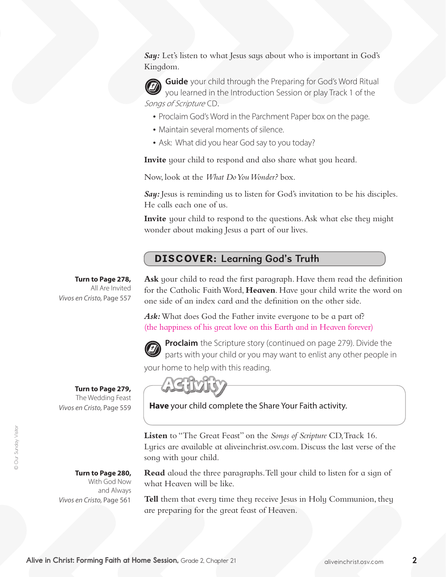Say: Let's listen to what Jesus says about who is important in God's Kingdom.

**Guide** your child through the Preparing for God's Word Ritual you learned in the Introduction Session or play Track 1 of the Songs of Scripture CD.

- Proclaim God's Word in the Parchment Paper box on the page.
- Maintain several moments of silence.
- Ask: What did you hear God say to you today?

**Invite** your child to respond and also share what you heard.

Now, look at the *What Do You Wonder?* box.

**Say:** Jesus is reminding us to listen for God's invitation to be his disciples. He calls each one of us.

**Invite** your child to respond to the questions. Ask what else they might wonder about making Jesus a part of our lives.

# DISCOVER: Learning God's Truth

**Turn to Page 278,** All Are Invited *Vivos en Cristo,* Page 557 **Ask** your child to read the first paragraph. Have them read the definition for the Catholic FaithWord, **Heaven**. Have your child write the word on one side of an index card and the definition on the other side.

Ask: What does God the Father invite everyone to be a part of? (the happiness of his great love on this Earth and in Heaven forever)



**Proclaim** the Scripture story (continued on page 279). Divide the parts with your child or you may want to enlist any other people in your home to help with this reading.

**Turn to Page 279,** 

The Wedding Feast *Vivos en Cristo,* Page 559

> **Turn to Page 280,** With God Now and Always

*Vivos en Cristo,* Page 561

**Have** your child complete the Share Your Faith activity.

**Listen** to "The Great Feast" on the *Songs of Scripture* CD,Track 16. Lyrics are available at aliveinchrist.osv.com. Discuss the last verse of the song with your child.

**Read** aloud the three paragraphs. Tell your child to listen for a sign of what Heaven will be like.

**Tell** them that every time they receive Jesus in Holy Communion, they are preparing for the great feast of Heaven.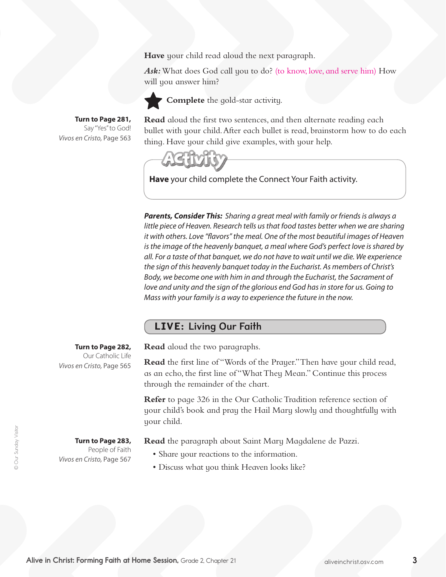**Have** your child read aloud the next paragraph.

*Ask:*What does God call you to do? (to know, love, and serve him) How will you answer him?



**Complete** the gold-star activity.

**Turn to Page 281,** Say "Yes" to God! *Vivos en Cristo,* Page 563 **Read** aloud the first two sentences, and then alternate reading each bullet with your child.After each bullet is read, brainstorm how to do each thing. Have your child give examples, with your help.



**Have** your child complete the Connect Your Faith activity.

*Parents, Consider This: Sharing a great meal with family or friends is always a little piece of Heaven. Research tells us that food tastes better when we are sharing it with others. Love "flavors" the meal. One of the most beautiful images of Heaven is the image of the heavenly banquet, a meal where God's perfect love is shared by all. For a taste of that banquet, we do not have to wait until we die. We experience the sign of this heavenly banquet today in the Eucharist. As members of Christ's Body, we become one with him in and through the Eucharist, the Sacrament of*  love and unity and the sign of the glorious end God has in store for us. Going to *Mass with your family is a way to experience the future in the now.* 

## LIVE: Living Our Faith

**Turn to Page 282,** 

Our Catholic Life *Vivos en Cristo,* Page 565

**Turn to Page 283,**  People of Faith *Vivos en Cristo,* Page 567 **Read** aloud the two paragraphs.

**Read** the first line of "Words of the Prayer." Then have your child read, as an echo, the first line of "WhatThey Mean." Continue this process through the remainder of the chart.

**Refer** to page 326 in the Our Catholic Tradition reference section of your child's book and pray the Hail Mary slowly and thoughtfully with your child.

**Read** the paragraph about Saint Mary Magdalene de Pazzi.

- Share your reactions to the information.
- Discuss what you think Heaven looks like?